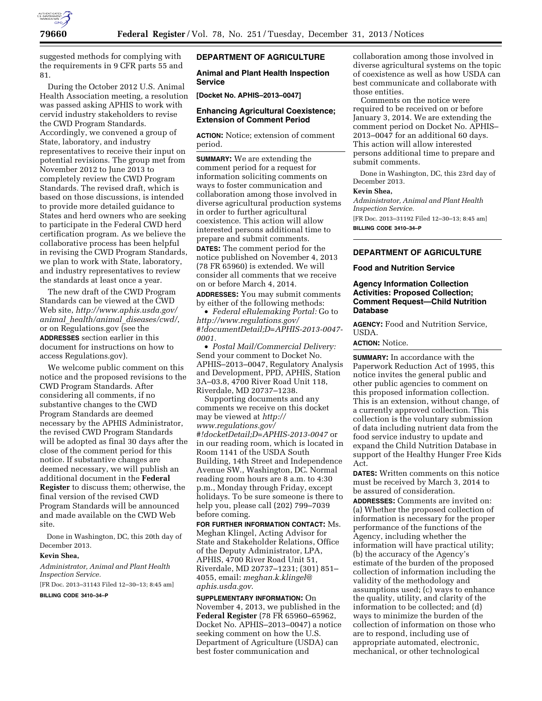

suggested methods for complying with the requirements in 9 CFR parts 55 and 81.

During the October 2012 U.S. Animal Health Association meeting, a resolution was passed asking APHIS to work with cervid industry stakeholders to revise the CWD Program Standards. Accordingly, we convened a group of State, laboratory, and industry representatives to receive their input on potential revisions. The group met from November 2012 to June 2013 to completely review the CWD Program Standards. The revised draft, which is based on those discussions, is intended to provide more detailed guidance to States and herd owners who are seeking to participate in the Federal CWD herd certification program. As we believe the collaborative process has been helpful in revising the CWD Program Standards, we plan to work with State, laboratory, and industry representatives to review the standards at least once a year.

The new draft of the CWD Program Standards can be viewed at the CWD Web site, *[http://www.aphis.usda.gov/](http://www.aphis.usda.gov/animal_health/animal_diseases/cwd/) animal*\_*[health/animal](http://www.aphis.usda.gov/animal_health/animal_diseases/cwd/)*\_*diseases/cwd/*, or on Regulations.gov (see the **ADDRESSES** section earlier in this document for instructions on how to access Regulations.gov).

We welcome public comment on this notice and the proposed revisions to the CWD Program Standards. After considering all comments, if no substantive changes to the CWD Program Standards are deemed necessary by the APHIS Administrator, the revised CWD Program Standards will be adopted as final 30 days after the close of the comment period for this notice. If substantive changes are deemed necessary, we will publish an additional document in the **Federal Register** to discuss them; otherwise, the final version of the revised CWD Program Standards will be announced and made available on the CWD Web site.

Done in Washington, DC, this 20th day of December 2013.

#### **Kevin Shea,**

*Administrator, Animal and Plant Health Inspection Service.* 

[FR Doc. 2013–31143 Filed 12–30–13; 8:45 am] **BILLING CODE 3410–34–P** 

# **DEPARTMENT OF AGRICULTURE**

**Animal and Plant Health Inspection Service** 

**[Docket No. APHIS–2013–0047]** 

# **Enhancing Agricultural Coexistence; Extension of Comment Period**

**ACTION:** Notice; extension of comment period.

**SUMMARY:** We are extending the comment period for a request for information soliciting comments on ways to foster communication and collaboration among those involved in diverse agricultural production systems in order to further agricultural coexistence. This action will allow interested persons additional time to prepare and submit comments.

**DATES:** The comment period for the notice published on November 4, 2013 (78 FR 65960) is extended. We will consider all comments that we receive on or before March 4, 2014.

**ADDRESSES:** You may submit comments by either of the following methods:

• *Federal eRulemaking Portal:* Go to *[http://www.regulations.gov/](http://www.regulations.gov/#!documentDetail;D=APHIS-2013-0047-0001) [#!documentDetail;D=APHIS-2013-0047-](http://www.regulations.gov/#!documentDetail;D=APHIS-2013-0047-0001) [0001.](http://www.regulations.gov/#!documentDetail;D=APHIS-2013-0047-0001)* 

• *Postal Mail/Commercial Delivery:*  Send your comment to Docket No. APHIS–2013–0047, Regulatory Analysis and Development, PPD, APHIS, Station 3A–03.8, 4700 River Road Unit 118, Riverdale, MD 20737–1238.

Supporting documents and any comments we receive on this docket may be viewed at *[http://](http://www.regulations.gov/#!docketDetail;D=APHIS-2013-0047) [www.regulations.gov/](http://www.regulations.gov/#!docketDetail;D=APHIS-2013-0047) [#!docketDetail;D=APHIS-2013-0047](http://www.regulations.gov/#!docketDetail;D=APHIS-2013-0047)* or in our reading room, which is located in Room 1141 of the USDA South Building, 14th Street and Independence Avenue SW., Washington, DC. Normal reading room hours are 8 a.m. to 4:30 p.m., Monday through Friday, except holidays. To be sure someone is there to help you, please call (202) 799–7039 before coming.

**FOR FURTHER INFORMATION CONTACT:** Ms. Meghan Klingel, Acting Advisor for State and Stakeholder Relations, Office of the Deputy Administrator, LPA, APHIS, 4700 River Road Unit 51, Riverdale, MD 20737–1231; (301) 851– 4055, email: *[meghan.k.klingel@](mailto:meghan.k.klingel@aphis.usda.gov) [aphis.usda.gov](mailto:meghan.k.klingel@aphis.usda.gov)*.

**SUPPLEMENTARY INFORMATION:** On November 4, 2013, we published in the **Federal Register** (78 FR 65960–65962, Docket No. APHIS–2013–0047) a notice seeking comment on how the U.S. Department of Agriculture (USDA) can best foster communication and

collaboration among those involved in diverse agricultural systems on the topic of coexistence as well as how USDA can best communicate and collaborate with those entities.

Comments on the notice were required to be received on or before January 3, 2014. We are extending the comment period on Docket No. APHIS– 2013–0047 for an additional 60 days. This action will allow interested persons additional time to prepare and submit comments.

Done in Washington, DC, this 23rd day of December 2013.

# **Kevin Shea,**

*Administrator, Animal and Plant Health Inspection Service.* 

[FR Doc. 2013–31192 Filed 12–30–13; 8:45 am] **BILLING CODE 3410–34–P** 

# **DEPARTMENT OF AGRICULTURE**

**Food and Nutrition Service** 

# **Agency Information Collection Activities: Proposed Collection; Comment Request—Child Nutrition Database**

**AGENCY:** Food and Nutrition Service, USDA.

# **ACTION:** Notice.

**SUMMARY:** In accordance with the Paperwork Reduction Act of 1995, this notice invites the general public and other public agencies to comment on this proposed information collection. This is an extension, without change, of a currently approved collection. This collection is the voluntary submission of data including nutrient data from the food service industry to update and expand the Child Nutrition Database in support of the Healthy Hunger Free Kids Act.

**DATES:** Written comments on this notice must be received by March 3, 2014 to be assured of consideration.

**ADDRESSES:** Comments are invited on: (a) Whether the proposed collection of information is necessary for the proper performance of the functions of the Agency, including whether the information will have practical utility; (b) the accuracy of the Agency's estimate of the burden of the proposed collection of information including the validity of the methodology and assumptions used; (c) ways to enhance the quality, utility, and clarity of the information to be collected; and (d) ways to minimize the burden of the collection of information on those who are to respond, including use of appropriate automated, electronic, mechanical, or other technological